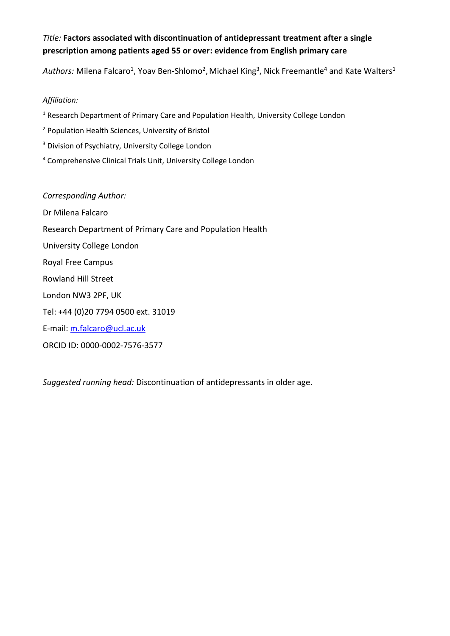## *Title:* **Factors associated with discontinuation of antidepressant treatment after a single prescription among patients aged 55 or over: evidence from English primary care**

Authors: Milena Falcaro<sup>1</sup>, Yoav Ben-Shlomo<sup>2</sup>, Michael King<sup>3</sup>, Nick Freemantle<sup>4</sup> and Kate Walters<sup>1</sup>

## *Affiliation:*

<sup>1</sup> Research Department of Primary Care and Population Health, University College London

- <sup>2</sup> Population Health Sciences, University of Bristol
- <sup>3</sup> Division of Psychiatry, University College London
- <sup>4</sup> Comprehensive Clinical Trials Unit, University College London

# *Corresponding Author:*

Dr Milena Falcaro Research Department of Primary Care and Population Health University College London Royal Free Campus Rowland Hill Street London NW3 2PF, UK Tel: +44 (0)20 7794 0500 ext. 31019

E-mail: [m.falcaro@ucl.ac.uk](mailto:m.falcaro@ucl.ac.uk)

ORCID ID: 0000-0002-7576-3577

*Suggested running head:* Discontinuation of antidepressants in older age.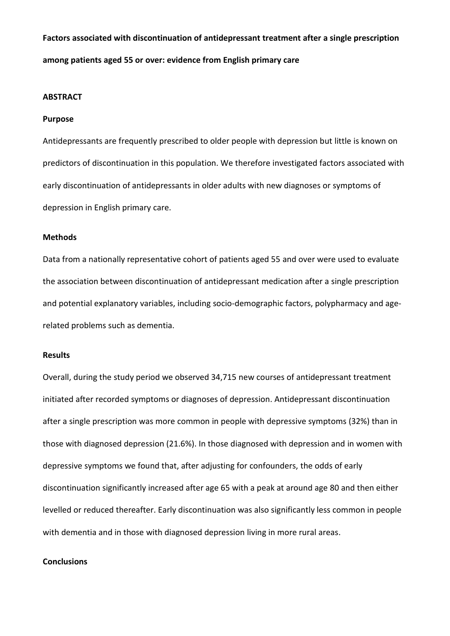**Factors associated with discontinuation of antidepressant treatment after a single prescription among patients aged 55 or over: evidence from English primary care**

#### **ABSTRACT**

#### **Purpose**

Antidepressants are frequently prescribed to older people with depression but little is known on predictors of discontinuation in this population. We therefore investigated factors associated with early discontinuation of antidepressants in older adults with new diagnoses or symptoms of depression in English primary care.

#### **Methods**

Data from a nationally representative cohort of patients aged 55 and over were used to evaluate the association between discontinuation of antidepressant medication after a single prescription and potential explanatory variables, including socio-demographic factors, polypharmacy and agerelated problems such as dementia.

## **Results**

Overall, during the study period we observed 34,715 new courses of antidepressant treatment initiated after recorded symptoms or diagnoses of depression. Antidepressant discontinuation after a single prescription was more common in people with depressive symptoms (32%) than in those with diagnosed depression (21.6%). In those diagnosed with depression and in women with depressive symptoms we found that, after adjusting for confounders, the odds of early discontinuation significantly increased after age 65 with a peak at around age 80 and then either levelled or reduced thereafter. Early discontinuation was also significantly less common in people with dementia and in those with diagnosed depression living in more rural areas.

## **Conclusions**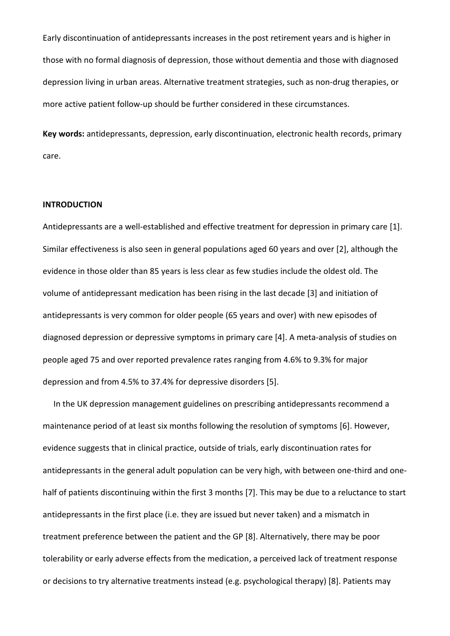Early discontinuation of antidepressants increases in the post retirement years and is higher in those with no formal diagnosis of depression, those without dementia and those with diagnosed depression living in urban areas. Alternative treatment strategies, such as non-drug therapies, or more active patient follow-up should be further considered in these circumstances.

**Key words:** antidepressants, depression, early discontinuation, electronic health records, primary care.

#### **INTRODUCTION**

Antidepressants are a well-established and effective treatment for depression in primary care [1]. Similar effectiveness is also seen in general populations aged 60 years and over [2], although the evidence in those older than 85 years is less clear as few studies include the oldest old. The volume of antidepressant medication has been rising in the last decade [3] and initiation of antidepressants is very common for older people (65 years and over) with new episodes of diagnosed depression or depressive symptoms in primary care [4]. A meta-analysis of studies on people aged 75 and over reported prevalence rates ranging from 4.6% to 9.3% for major depression and from 4.5% to 37.4% for depressive disorders [5].

In the UK depression management guidelines on prescribing antidepressants recommend a maintenance period of at least six months following the resolution of symptoms [6]. However, evidence suggests that in clinical practice, outside of trials, early discontinuation rates for antidepressants in the general adult population can be very high, with between one-third and onehalf of patients discontinuing within the first 3 months [7]. This may be due to a reluctance to start antidepressants in the first place (i.e. they are issued but never taken) and a mismatch in treatment preference between the patient and the GP [8]. Alternatively, there may be poor tolerability or early adverse effects from the medication, a perceived lack of treatment response or decisions to try alternative treatments instead (e.g. psychological therapy) [8]. Patients may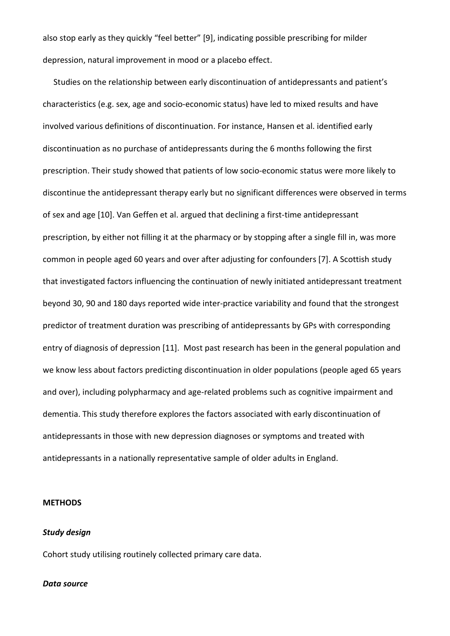also stop early as they quickly "feel better" [9], indicating possible prescribing for milder depression, natural improvement in mood or a placebo effect.

Studies on the relationship between early discontinuation of antidepressants and patient's characteristics (e.g. sex, age and socio-economic status) have led to mixed results and have involved various definitions of discontinuation. For instance, Hansen et al. identified early discontinuation as no purchase of antidepressants during the 6 months following the first prescription. Their study showed that patients of low socio-economic status were more likely to discontinue the antidepressant therapy early but no significant differences were observed in terms of sex and age [10]. Van Geffen et al. argued that declining a first-time antidepressant prescription, by either not filling it at the pharmacy or by stopping after a single fill in, was more common in people aged 60 years and over after adjusting for confounders [7]. A Scottish study that investigated factors influencing the continuation of newly initiated antidepressant treatment beyond 30, 90 and 180 days reported wide inter-practice variability and found that the strongest predictor of treatment duration was prescribing of antidepressants by GPs with corresponding entry of diagnosis of depression [11]. Most past research has been in the general population and we know less about factors predicting discontinuation in older populations (people aged 65 years and over), including polypharmacy and age-related problems such as cognitive impairment and dementia. This study therefore explores the factors associated with early discontinuation of antidepressants in those with new depression diagnoses or symptoms and treated with antidepressants in a nationally representative sample of older adults in England.

## **METHODS**

#### *Study design*

Cohort study utilising routinely collected primary care data.

#### *Data source*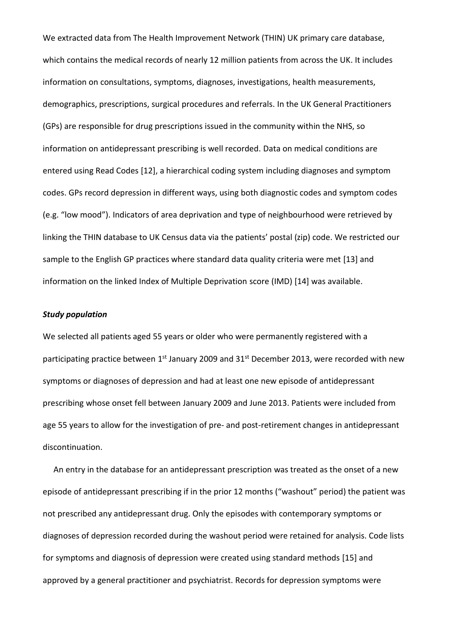We extracted data from The Health Improvement Network (THIN) UK primary care database, which contains the medical records of nearly 12 million patients from across the UK. It includes information on consultations, symptoms, diagnoses, investigations, health measurements, demographics, prescriptions, surgical procedures and referrals. In the UK General Practitioners (GPs) are responsible for drug prescriptions issued in the community within the NHS, so information on antidepressant prescribing is well recorded. Data on medical conditions are entered using Read Codes [12], a hierarchical coding system including diagnoses and symptom codes. GPs record depression in different ways, using both diagnostic codes and symptom codes (e.g. "low mood"). Indicators of area deprivation and type of neighbourhood were retrieved by linking the THIN database to UK Census data via the patients' postal (zip) code. We restricted our sample to the English GP practices where standard data quality criteria were met [13] and information on the linked Index of Multiple Deprivation score (IMD) [14] was available.

#### *Study population*

We selected all patients aged 55 years or older who were permanently registered with a participating practice between 1<sup>st</sup> January 2009 and 31<sup>st</sup> December 2013, were recorded with new symptoms or diagnoses of depression and had at least one new episode of antidepressant prescribing whose onset fell between January 2009 and June 2013. Patients were included from age 55 years to allow for the investigation of pre- and post-retirement changes in antidepressant discontinuation.

An entry in the database for an antidepressant prescription was treated as the onset of a new episode of antidepressant prescribing if in the prior 12 months ("washout" period) the patient was not prescribed any antidepressant drug. Only the episodes with contemporary symptoms or diagnoses of depression recorded during the washout period were retained for analysis. Code lists for symptoms and diagnosis of depression were created using standard methods [15] and approved by a general practitioner and psychiatrist. Records for depression symptoms were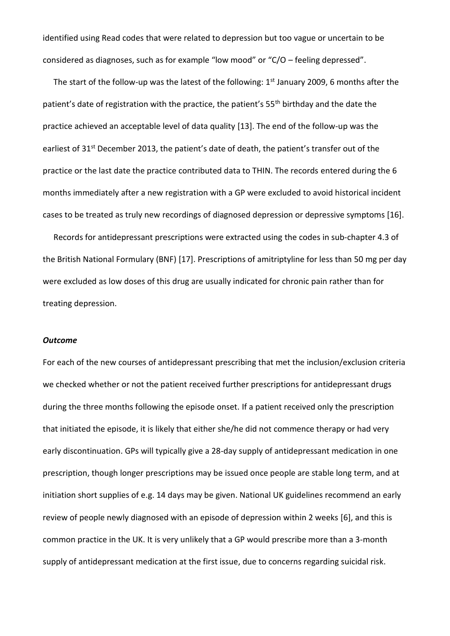identified using Read codes that were related to depression but too vague or uncertain to be considered as diagnoses, such as for example "low mood" or "C/O – feeling depressed".

The start of the follow-up was the latest of the following: 1<sup>st</sup> January 2009, 6 months after the patient's date of registration with the practice, the patient's 55<sup>th</sup> birthday and the date the practice achieved an acceptable level of data quality [13]. The end of the follow-up was the earliest of 31<sup>st</sup> December 2013, the patient's date of death, the patient's transfer out of the practice or the last date the practice contributed data to THIN. The records entered during the 6 months immediately after a new registration with a GP were excluded to avoid historical incident cases to be treated as truly new recordings of diagnosed depression or depressive symptoms [16].

Records for antidepressant prescriptions were extracted using the codes in sub-chapter 4.3 of the British National Formulary (BNF) [17]. Prescriptions of amitriptyline for less than 50 mg per day were excluded as low doses of this drug are usually indicated for chronic pain rather than for treating depression.

#### *Outcome*

For each of the new courses of antidepressant prescribing that met the inclusion/exclusion criteria we checked whether or not the patient received further prescriptions for antidepressant drugs during the three months following the episode onset. If a patient received only the prescription that initiated the episode, it is likely that either she/he did not commence therapy or had very early discontinuation. GPs will typically give a 28-day supply of antidepressant medication in one prescription, though longer prescriptions may be issued once people are stable long term, and at initiation short supplies of e.g. 14 days may be given. National UK guidelines recommend an early review of people newly diagnosed with an episode of depression within 2 weeks [6], and this is common practice in the UK. It is very unlikely that a GP would prescribe more than a 3-month supply of antidepressant medication at the first issue, due to concerns regarding suicidal risk.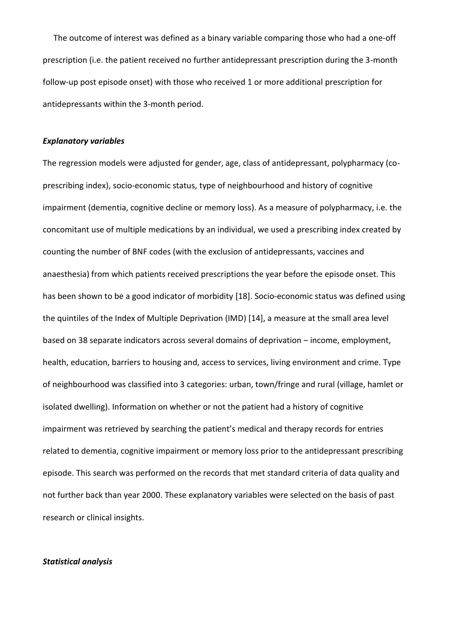The outcome of interest was defined as a binary variable comparing those who had a one-off prescription (i.e. the patient received no further antidepressant prescription during the 3-month follow-up post episode onset) with those who received 1 or more additional prescription for antidepressants within the 3-month period.

#### *Explanatory variables*

The regression models were adjusted for gender, age, class of antidepressant, polypharmacy (coprescribing index), socio-economic status, type of neighbourhood and history of cognitive impairment (dementia, cognitive decline or memory loss). As a measure of polypharmacy, i.e. the concomitant use of multiple medications by an individual, we used a prescribing index created by counting the number of BNF codes (with the exclusion of antidepressants, vaccines and anaesthesia) from which patients received prescriptions the year before the episode onset. This has been shown to be a good indicator of morbidity [18]. Socio-economic status was defined using the quintiles of the Index of Multiple Deprivation (IMD) [14], a measure at the small area level based on 38 separate indicators across several domains of deprivation – income, employment, health, education, barriers to housing and, access to services, living environment and crime. Type of neighbourhood was classified into 3 categories: urban, town/fringe and rural (village, hamlet or isolated dwelling). Information on whether or not the patient had a history of cognitive impairment was retrieved by searching the patient's medical and therapy records for entries related to dementia, cognitive impairment or memory loss prior to the antidepressant prescribing episode. This search was performed on the records that met standard criteria of data quality and not further back than year 2000. These explanatory variables were selected on the basis of past research or clinical insights.

## *Statistical analysis*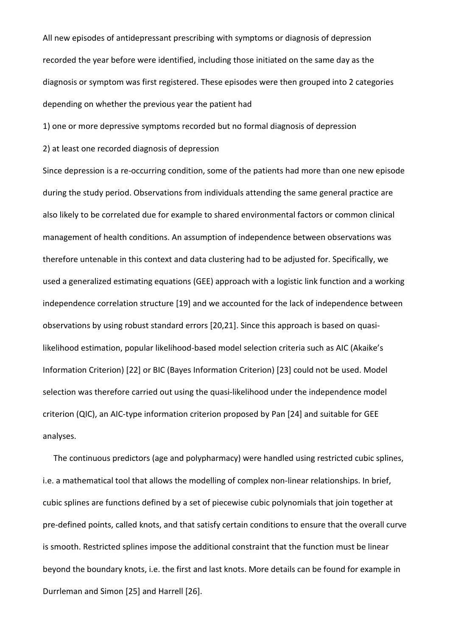All new episodes of antidepressant prescribing with symptoms or diagnosis of depression recorded the year before were identified, including those initiated on the same day as the diagnosis or symptom was first registered. These episodes were then grouped into 2 categories depending on whether the previous year the patient had

1) one or more depressive symptoms recorded but no formal diagnosis of depression

2) at least one recorded diagnosis of depression

Since depression is a re-occurring condition, some of the patients had more than one new episode during the study period. Observations from individuals attending the same general practice are also likely to be correlated due for example to shared environmental factors or common clinical management of health conditions. An assumption of independence between observations was therefore untenable in this context and data clustering had to be adjusted for. Specifically, we used a generalized estimating equations (GEE) approach with a logistic link function and a working independence correlation structure [19] and we accounted for the lack of independence between observations by using robust standard errors [20,21]. Since this approach is based on quasilikelihood estimation, popular likelihood-based model selection criteria such as AIC (Akaike's Information Criterion) [22] or BIC (Bayes Information Criterion) [23] could not be used. Model selection was therefore carried out using the quasi-likelihood under the independence model criterion (QIC), an AIC-type information criterion proposed by Pan [24] and suitable for GEE analyses.

The continuous predictors (age and polypharmacy) were handled using restricted cubic splines, i.e. a mathematical tool that allows the modelling of complex non-linear relationships. In brief, cubic splines are functions defined by a set of piecewise cubic polynomials that join together at pre-defined points, called knots, and that satisfy certain conditions to ensure that the overall curve is smooth. Restricted splines impose the additional constraint that the function must be linear beyond the boundary knots, i.e. the first and last knots. More details can be found for example in Durrleman and Simon [25] and Harrell [26].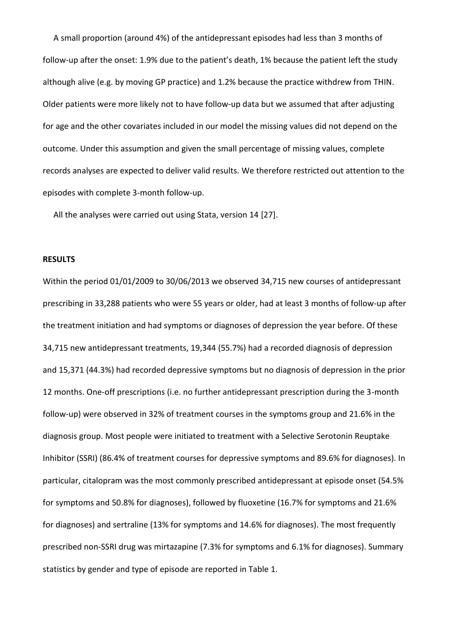A small proportion (around 4%) of the antidepressant episodes had less than 3 months of follow-up after the onset: 1.9% due to the patient's death, 1% because the patient left the study although alive (e.g. by moving GP practice) and 1.2% because the practice withdrew from THIN. Older patients were more likely not to have follow-up data but we assumed that after adjusting for age and the other covariates included in our model the missing values did not depend on the outcome. Under this assumption and given the small percentage of missing values, complete records analyses are expected to deliver valid results. We therefore restricted out attention to the episodes with complete 3-month follow-up.

All the analyses were carried out using Stata, version 14 [27].

## **RESULTS**

Within the period 01/01/2009 to 30/06/2013 we observed 34,715 new courses of antidepressant prescribing in 33,288 patients who were 55 years or older, had at least 3 months of follow-up after the treatment initiation and had symptoms or diagnoses of depression the year before. Of these 34,715 new antidepressant treatments, 19,344 (55.7%) had a recorded diagnosis of depression and 15,371 (44.3%) had recorded depressive symptoms but no diagnosis of depression in the prior 12 months. One-off prescriptions (i.e. no further antidepressant prescription during the 3-month follow-up) were observed in 32% of treatment courses in the symptoms group and 21.6% in the diagnosis group. Most people were initiated to treatment with a Selective Serotonin Reuptake Inhibitor (SSRI) (86.4% of treatment courses for depressive symptoms and 89.6% for diagnoses). In particular, citalopram was the most commonly prescribed antidepressant at episode onset (54.5% for symptoms and 50.8% for diagnoses), followed by fluoxetine (16.7% for symptoms and 21.6% for diagnoses) and sertraline (13% for symptoms and 14.6% for diagnoses). The most frequently prescribed non-SSRI drug was mirtazapine (7.3% for symptoms and 6.1% for diagnoses). Summary statistics by gender and type of episode are reported in Table 1.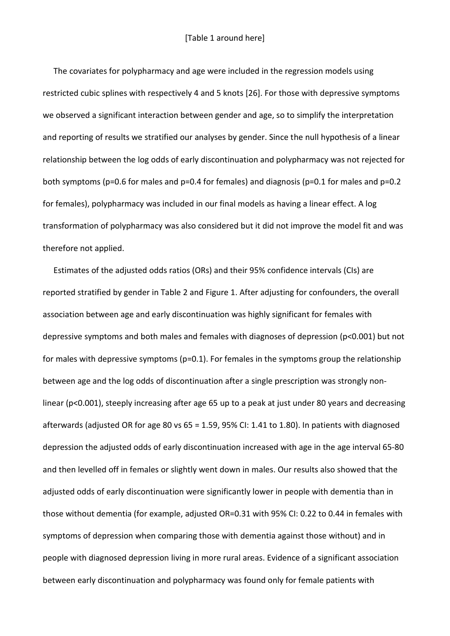The covariates for polypharmacy and age were included in the regression models using restricted cubic splines with respectively 4 and 5 knots [26]. For those with depressive symptoms we observed a significant interaction between gender and age, so to simplify the interpretation and reporting of results we stratified our analyses by gender. Since the null hypothesis of a linear relationship between the log odds of early discontinuation and polypharmacy was not rejected for both symptoms (p=0.6 for males and p=0.4 for females) and diagnosis (p=0.1 for males and p=0.2 for females), polypharmacy was included in our final models as having a linear effect. A log transformation of polypharmacy was also considered but it did not improve the model fit and was therefore not applied.

Estimates of the adjusted odds ratios (ORs) and their 95% confidence intervals (CIs) are reported stratified by gender in Table 2 and Figure 1. After adjusting for confounders, the overall association between age and early discontinuation was highly significant for females with depressive symptoms and both males and females with diagnoses of depression (p<0.001) but not for males with depressive symptoms (p=0.1). For females in the symptoms group the relationship between age and the log odds of discontinuation after a single prescription was strongly nonlinear (p<0.001), steeply increasing after age 65 up to a peak at just under 80 years and decreasing afterwards (adjusted OR for age 80 vs 65 = 1.59, 95% CI: 1.41 to 1.80). In patients with diagnosed depression the adjusted odds of early discontinuation increased with age in the age interval 65-80 and then levelled off in females or slightly went down in males. Our results also showed that the adjusted odds of early discontinuation were significantly lower in people with dementia than in those without dementia (for example, adjusted OR=0.31 with 95% CI: 0.22 to 0.44 in females with symptoms of depression when comparing those with dementia against those without) and in people with diagnosed depression living in more rural areas. Evidence of a significant association between early discontinuation and polypharmacy was found only for female patients with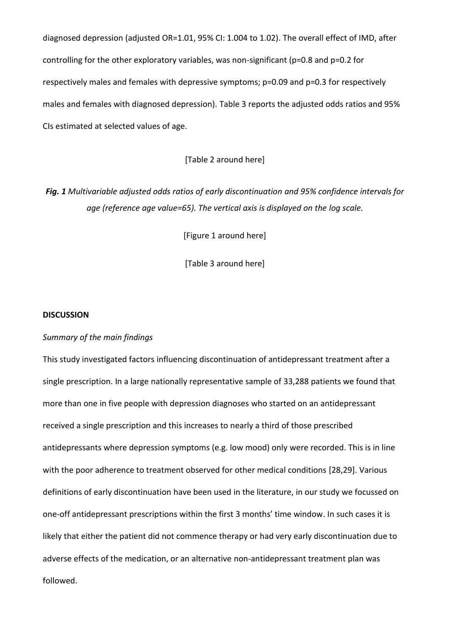diagnosed depression (adjusted OR=1.01, 95% CI: 1.004 to 1.02). The overall effect of IMD, after controlling for the other exploratory variables, was non-significant (p=0.8 and p=0.2 for respectively males and females with depressive symptoms; p=0.09 and p=0.3 for respectively males and females with diagnosed depression). Table 3 reports the adjusted odds ratios and 95% CIs estimated at selected values of age.

## [Table 2 around here]

*Fig. 1 Multivariable adjusted odds ratios of early discontinuation and 95% confidence intervals for age (reference age value=65). The vertical axis is displayed on the log scale.*

[Figure 1 around here]

[Table 3 around here]

#### **DISCUSSION**

## *Summary of the main findings*

This study investigated factors influencing discontinuation of antidepressant treatment after a single prescription. In a large nationally representative sample of 33,288 patients we found that more than one in five people with depression diagnoses who started on an antidepressant received a single prescription and this increases to nearly a third of those prescribed antidepressants where depression symptoms (e.g. low mood) only were recorded. This is in line with the poor adherence to treatment observed for other medical conditions [28,29]. Various definitions of early discontinuation have been used in the literature, in our study we focussed on one-off antidepressant prescriptions within the first 3 months' time window. In such cases it is likely that either the patient did not commence therapy or had very early discontinuation due to adverse effects of the medication, or an alternative non-antidepressant treatment plan was followed.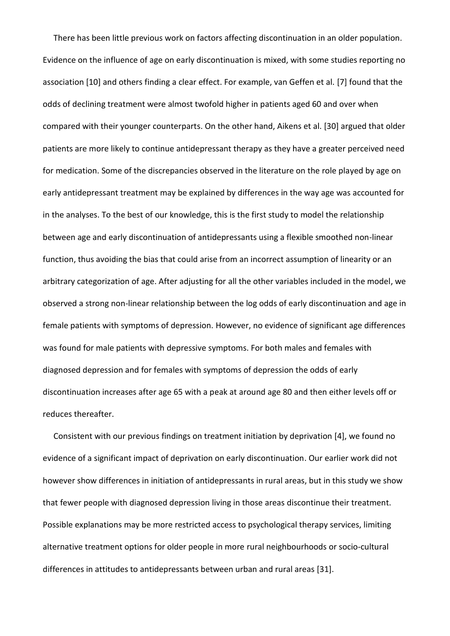There has been little previous work on factors affecting discontinuation in an older population. Evidence on the influence of age on early discontinuation is mixed, with some studies reporting no association [10] and others finding a clear effect. For example, van Geffen et al. [7] found that the odds of declining treatment were almost twofold higher in patients aged 60 and over when compared with their younger counterparts. On the other hand, Aikens et al. [30] argued that older patients are more likely to continue antidepressant therapy as they have a greater perceived need for medication. Some of the discrepancies observed in the literature on the role played by age on early antidepressant treatment may be explained by differences in the way age was accounted for in the analyses. To the best of our knowledge, this is the first study to model the relationship between age and early discontinuation of antidepressants using a flexible smoothed non-linear function, thus avoiding the bias that could arise from an incorrect assumption of linearity or an arbitrary categorization of age. After adjusting for all the other variables included in the model, we observed a strong non-linear relationship between the log odds of early discontinuation and age in female patients with symptoms of depression. However, no evidence of significant age differences was found for male patients with depressive symptoms. For both males and females with diagnosed depression and for females with symptoms of depression the odds of early discontinuation increases after age 65 with a peak at around age 80 and then either levels off or reduces thereafter.

Consistent with our previous findings on treatment initiation by deprivation [4], we found no evidence of a significant impact of deprivation on early discontinuation. Our earlier work did not however show differences in initiation of antidepressants in rural areas, but in this study we show that fewer people with diagnosed depression living in those areas discontinue their treatment. Possible explanations may be more restricted access to psychological therapy services, limiting alternative treatment options for older people in more rural neighbourhoods or socio-cultural differences in attitudes to antidepressants between urban and rural areas [31].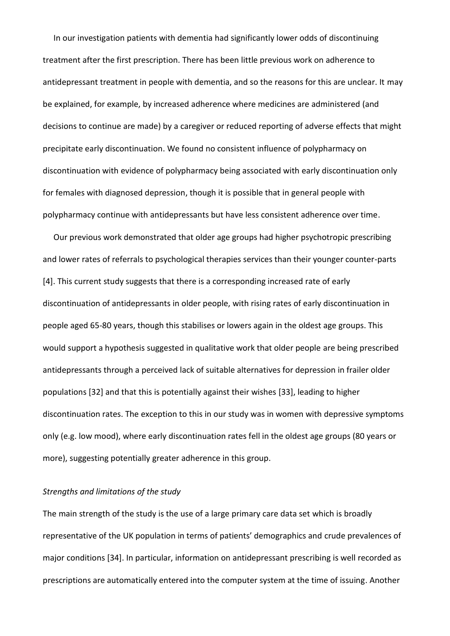In our investigation patients with dementia had significantly lower odds of discontinuing treatment after the first prescription. There has been little previous work on adherence to antidepressant treatment in people with dementia, and so the reasons for this are unclear. It may be explained, for example, by increased adherence where medicines are administered (and decisions to continue are made) by a caregiver or reduced reporting of adverse effects that might precipitate early discontinuation. We found no consistent influence of polypharmacy on discontinuation with evidence of polypharmacy being associated with early discontinuation only for females with diagnosed depression, though it is possible that in general people with polypharmacy continue with antidepressants but have less consistent adherence over time.

Our previous work demonstrated that older age groups had higher psychotropic prescribing and lower rates of referrals to psychological therapies services than their younger counter-parts [4]. This current study suggests that there is a corresponding increased rate of early discontinuation of antidepressants in older people, with rising rates of early discontinuation in people aged 65-80 years, though this stabilises or lowers again in the oldest age groups. This would support a hypothesis suggested in qualitative work that older people are being prescribed antidepressants through a perceived lack of suitable alternatives for depression in frailer older populations [32] and that this is potentially against their wishes [33], leading to higher discontinuation rates. The exception to this in our study was in women with depressive symptoms only (e.g. low mood), where early discontinuation rates fell in the oldest age groups (80 years or more), suggesting potentially greater adherence in this group.

## *Strengths and limitations of the study*

The main strength of the study is the use of a large primary care data set which is broadly representative of the UK population in terms of patients' demographics and crude prevalences of major conditions [34]. In particular, information on antidepressant prescribing is well recorded as prescriptions are automatically entered into the computer system at the time of issuing. Another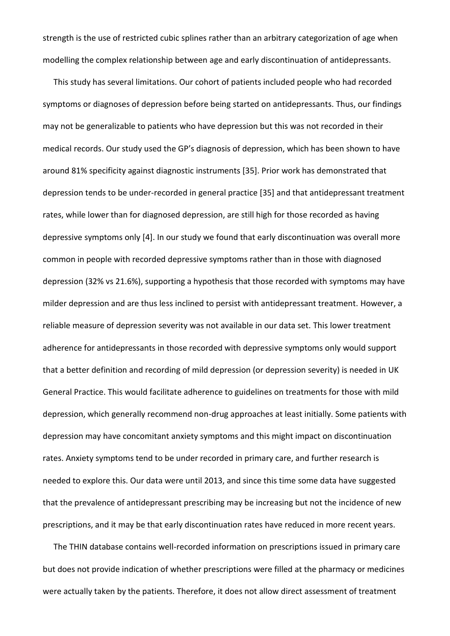strength is the use of restricted cubic splines rather than an arbitrary categorization of age when modelling the complex relationship between age and early discontinuation of antidepressants.

This study has several limitations. Our cohort of patients included people who had recorded symptoms or diagnoses of depression before being started on antidepressants. Thus, our findings may not be generalizable to patients who have depression but this was not recorded in their medical records. Our study used the GP's diagnosis of depression, which has been shown to have around 81% specificity against diagnostic instruments [35]. Prior work has demonstrated that depression tends to be under-recorded in general practice [35] and that antidepressant treatment rates, while lower than for diagnosed depression, are still high for those recorded as having depressive symptoms only [4]. In our study we found that early discontinuation was overall more common in people with recorded depressive symptoms rather than in those with diagnosed depression (32% vs 21.6%), supporting a hypothesis that those recorded with symptoms may have milder depression and are thus less inclined to persist with antidepressant treatment. However, a reliable measure of depression severity was not available in our data set. This lower treatment adherence for antidepressants in those recorded with depressive symptoms only would support that a better definition and recording of mild depression (or depression severity) is needed in UK General Practice. This would facilitate adherence to guidelines on treatments for those with mild depression, which generally recommend non-drug approaches at least initially. Some patients with depression may have concomitant anxiety symptoms and this might impact on discontinuation rates. Anxiety symptoms tend to be under recorded in primary care, and further research is needed to explore this. Our data were until 2013, and since this time some data have suggested that the prevalence of antidepressant prescribing may be increasing but not the incidence of new prescriptions, and it may be that early discontinuation rates have reduced in more recent years.

The THIN database contains well-recorded information on prescriptions issued in primary care but does not provide indication of whether prescriptions were filled at the pharmacy or medicines were actually taken by the patients. Therefore, it does not allow direct assessment of treatment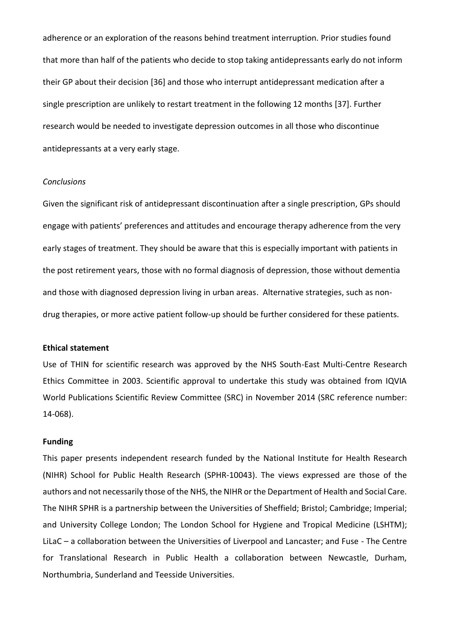adherence or an exploration of the reasons behind treatment interruption. Prior studies found that more than half of the patients who decide to stop taking antidepressants early do not inform their GP about their decision [36] and those who interrupt antidepressant medication after a single prescription are unlikely to restart treatment in the following 12 months [37]. Further research would be needed to investigate depression outcomes in all those who discontinue antidepressants at a very early stage.

## *Conclusions*

Given the significant risk of antidepressant discontinuation after a single prescription, GPs should engage with patients' preferences and attitudes and encourage therapy adherence from the very early stages of treatment. They should be aware that this is especially important with patients in the post retirement years, those with no formal diagnosis of depression, those without dementia and those with diagnosed depression living in urban areas. Alternative strategies, such as nondrug therapies, or more active patient follow-up should be further considered for these patients.

### **Ethical statement**

Use of THIN for scientific research was approved by the NHS South-East Multi-Centre Research Ethics Committee in 2003. Scientific approval to undertake this study was obtained from IQVIA World Publications Scientific Review Committee (SRC) in November 2014 (SRC reference number: 14-068).

#### **Funding**

This paper presents independent research funded by the National Institute for Health Research (NIHR) School for Public Health Research (SPHR-10043). The views expressed are those of the authors and not necessarily those of the NHS, the NIHR or the Department of Health and Social Care. The NIHR SPHR is a partnership between the Universities of Sheffield; Bristol; Cambridge; Imperial; and University College London; The London School for Hygiene and Tropical Medicine (LSHTM); LiLaC – a collaboration between the Universities of Liverpool and Lancaster; and Fuse - The Centre for Translational Research in Public Health a collaboration between Newcastle, Durham, Northumbria, Sunderland and Teesside Universities.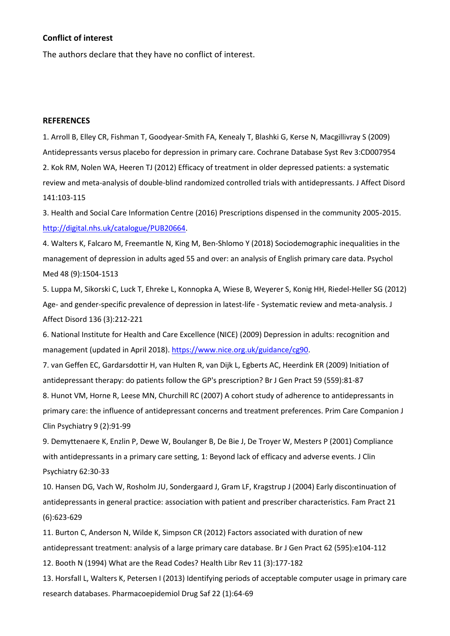#### **Conflict of interest**

The authors declare that they have no conflict of interest.

## **REFERENCES**

1. Arroll B, Elley CR, Fishman T, Goodyear-Smith FA, Kenealy T, Blashki G, Kerse N, Macgillivray S (2009) Antidepressants versus placebo for depression in primary care. Cochrane Database Syst Rev 3:CD007954 2. Kok RM, Nolen WA, Heeren TJ (2012) Efficacy of treatment in older depressed patients: a systematic review and meta-analysis of double-blind randomized controlled trials with antidepressants. J Affect Disord 141:103-115

3. Health and Social Care Information Centre (2016) Prescriptions dispensed in the community 2005-2015. [http://digital.nhs.uk/catalogue/PUB20664.](http://digital.nhs.uk/catalogue/PUB20664)

4. Walters K, Falcaro M, Freemantle N, King M, Ben-Shlomo Y (2018) Sociodemographic inequalities in the management of depression in adults aged 55 and over: an analysis of English primary care data. Psychol Med 48 (9):1504-1513

5. Luppa M, Sikorski C, Luck T, Ehreke L, Konnopka A, Wiese B, Weyerer S, Konig HH, Riedel-Heller SG (2012) Age- and gender-specific prevalence of depression in latest-life - Systematic review and meta-analysis. J Affect Disord 136 (3):212-221

6. National Institute for Health and Care Excellence (NICE) (2009) Depression in adults: recognition and management (updated in April 2018). [https://www.nice.org.uk/guidance/cg90.](https://www.nice.org.uk/guidance/cg90)

7. van Geffen EC, Gardarsdottir H, van Hulten R, van Dijk L, Egberts AC, Heerdink ER (2009) Initiation of antidepressant therapy: do patients follow the GP's prescription? Br J Gen Pract 59 (559):81-87

8. Hunot VM, Horne R, Leese MN, Churchill RC (2007) A cohort study of adherence to antidepressants in primary care: the influence of antidepressant concerns and treatment preferences. Prim Care Companion J Clin Psychiatry 9 (2):91-99

9. Demyttenaere K, Enzlin P, Dewe W, Boulanger B, De Bie J, De Troyer W, Mesters P (2001) Compliance with antidepressants in a primary care setting, 1: Beyond lack of efficacy and adverse events. J Clin Psychiatry 62:30-33

10. Hansen DG, Vach W, Rosholm JU, Sondergaard J, Gram LF, Kragstrup J (2004) Early discontinuation of antidepressants in general practice: association with patient and prescriber characteristics. Fam Pract 21 (6):623-629

11. Burton C, Anderson N, Wilde K, Simpson CR (2012) Factors associated with duration of new antidepressant treatment: analysis of a large primary care database. Br J Gen Pract 62 (595):e104-112 12. Booth N (1994) What are the Read Codes? Health Libr Rev 11 (3):177-182

13. Horsfall L, Walters K, Petersen I (2013) Identifying periods of acceptable computer usage in primary care research databases. Pharmacoepidemiol Drug Saf 22 (1):64-69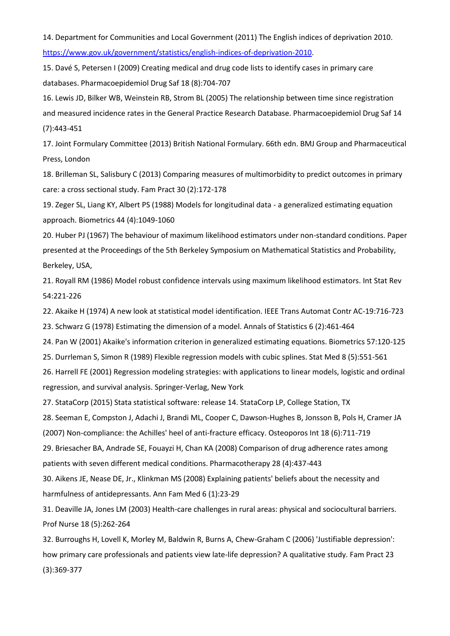14. Department for Communities and Local Government (2011) The English indices of deprivation 2010. [https://www.gov.uk/government/statistics/english-indices-of-deprivation-2010.](https://www.gov.uk/government/statistics/english-indices-of-deprivation-2010)

15. Davé S, Petersen I (2009) Creating medical and drug code lists to identify cases in primary care databases. Pharmacoepidemiol Drug Saf 18 (8):704-707

16. Lewis JD, Bilker WB, Weinstein RB, Strom BL (2005) The relationship between time since registration and measured incidence rates in the General Practice Research Database. Pharmacoepidemiol Drug Saf 14 (7):443-451

17. Joint Formulary Committee (2013) British National Formulary. 66th edn. BMJ Group and Pharmaceutical Press, London

18. Brilleman SL, Salisbury C (2013) Comparing measures of multimorbidity to predict outcomes in primary care: a cross sectional study. Fam Pract 30 (2):172-178

19. Zeger SL, Liang KY, Albert PS (1988) Models for longitudinal data - a generalized estimating equation approach. Biometrics 44 (4):1049-1060

20. Huber PJ (1967) The behaviour of maximum likelihood estimators under non-standard conditions. Paper presented at the Proceedings of the 5th Berkeley Symposium on Mathematical Statistics and Probability, Berkeley, USA,

21. Royall RM (1986) Model robust confidence intervals using maximum likelihood estimators. Int Stat Rev 54:221-226

22. Akaike H (1974) A new look at statistical model identification. IEEE Trans Automat Contr AC-19:716-723

23. Schwarz G (1978) Estimating the dimension of a model. Annals of Statistics 6 (2):461-464

24. Pan W (2001) Akaike's information criterion in generalized estimating equations. Biometrics 57:120-125

25. Durrleman S, Simon R (1989) Flexible regression models with cubic splines. Stat Med 8 (5):551-561

26. Harrell FE (2001) Regression modeling strategies: with applications to linear models, logistic and ordinal regression, and survival analysis. Springer‐Verlag, New York

27. StataCorp (2015) Stata statistical software: release 14. StataCorp LP, College Station, TX

28. Seeman E, Compston J, Adachi J, Brandi ML, Cooper C, Dawson-Hughes B, Jonsson B, Pols H, Cramer JA

(2007) Non-compliance: the Achilles' heel of anti-fracture efficacy. Osteoporos Int 18 (6):711-719

29. Briesacher BA, Andrade SE, Fouayzi H, Chan KA (2008) Comparison of drug adherence rates among patients with seven different medical conditions. Pharmacotherapy 28 (4):437-443

30. Aikens JE, Nease DE, Jr., Klinkman MS (2008) Explaining patients' beliefs about the necessity and harmfulness of antidepressants. Ann Fam Med 6 (1):23-29

31. Deaville JA, Jones LM (2003) Health-care challenges in rural areas: physical and sociocultural barriers. Prof Nurse 18 (5):262-264

32. Burroughs H, Lovell K, Morley M, Baldwin R, Burns A, Chew-Graham C (2006) 'Justifiable depression': how primary care professionals and patients view late-life depression? A qualitative study. Fam Pract 23 (3):369-377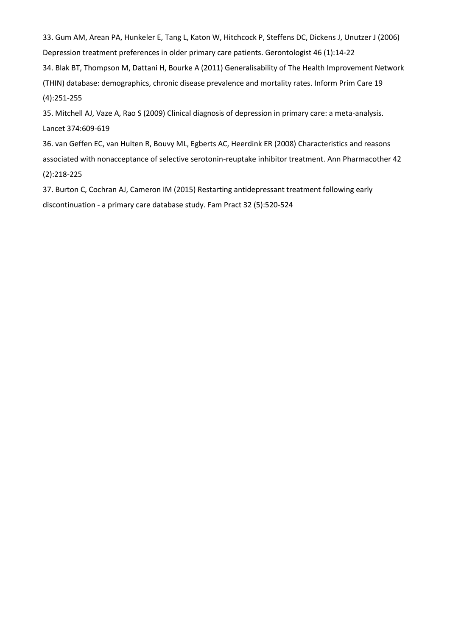33. Gum AM, Arean PA, Hunkeler E, Tang L, Katon W, Hitchcock P, Steffens DC, Dickens J, Unutzer J (2006) Depression treatment preferences in older primary care patients. Gerontologist 46 (1):14-22

34. Blak BT, Thompson M, Dattani H, Bourke A (2011) Generalisability of The Health Improvement Network (THIN) database: demographics, chronic disease prevalence and mortality rates. Inform Prim Care 19 (4):251-255

35. Mitchell AJ, Vaze A, Rao S (2009) Clinical diagnosis of depression in primary care: a meta-analysis. Lancet 374:609-619

36. van Geffen EC, van Hulten R, Bouvy ML, Egberts AC, Heerdink ER (2008) Characteristics and reasons associated with nonacceptance of selective serotonin-reuptake inhibitor treatment. Ann Pharmacother 42 (2):218-225

37. Burton C, Cochran AJ, Cameron IM (2015) Restarting antidepressant treatment following early discontinuation - a primary care database study. Fam Pract 32 (5):520-524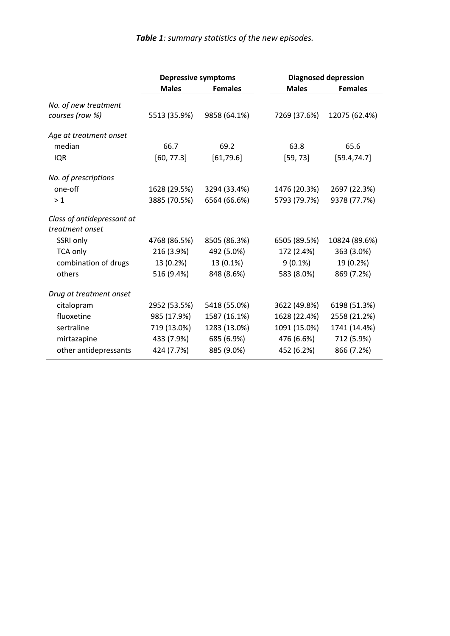|                                               | <b>Depressive symptoms</b> |                | <b>Diagnosed depression</b> |                |
|-----------------------------------------------|----------------------------|----------------|-----------------------------|----------------|
|                                               | <b>Males</b>               | <b>Females</b> | <b>Males</b>                | <b>Females</b> |
| No. of new treatment                          |                            |                |                             |                |
| courses (row %)                               | 5513 (35.9%)               | 9858 (64.1%)   | 7269 (37.6%)                | 12075 (62.4%)  |
| Age at treatment onset                        |                            |                |                             |                |
| median                                        | 66.7                       | 69.2           | 63.8                        | 65.6           |
| <b>IQR</b>                                    | [60, 77.3]                 | [61,79.6]      | [59, 73]                    | [59.4, 74.7]   |
| No. of prescriptions                          |                            |                |                             |                |
| one-off                                       | 1628 (29.5%)               | 3294 (33.4%)   | 1476 (20.3%)                | 2697 (22.3%)   |
| >1                                            | 3885 (70.5%)               | 6564 (66.6%)   | 5793 (79.7%)                | 9378 (77.7%)   |
| Class of antidepressant at<br>treatment onset |                            |                |                             |                |
| SSRI only                                     | 4768 (86.5%)               | 8505 (86.3%)   | 6505 (89.5%)                | 10824 (89.6%)  |
| <b>TCA only</b>                               | 216 (3.9%)                 | 492 (5.0%)     | 172 (2.4%)                  | 363 (3.0%)     |
| combination of drugs                          | 13 (0.2%)                  | 13 (0.1%)      | $9(0.1\%)$                  | 19 (0.2%)      |
| others                                        | 516 (9.4%)                 | 848 (8.6%)     | 583 (8.0%)                  | 869 (7.2%)     |
| Drug at treatment onset                       |                            |                |                             |                |
| citalopram                                    | 2952 (53.5%)               | 5418 (55.0%)   | 3622 (49.8%)                | 6198 (51.3%)   |
| fluoxetine                                    | 985 (17.9%)                | 1587 (16.1%)   | 1628 (22.4%)                | 2558 (21.2%)   |
| sertraline                                    | 719 (13.0%)                | 1283 (13.0%)   | 1091 (15.0%)                | 1741 (14.4%)   |
| mirtazapine                                   | 433 (7.9%)                 | 685 (6.9%)     | 476 (6.6%)                  | 712 (5.9%)     |
| other antidepressants                         | 424 (7.7%)                 | 885 (9.0%)     | 452 (6.2%)                  | 866 (7.2%)     |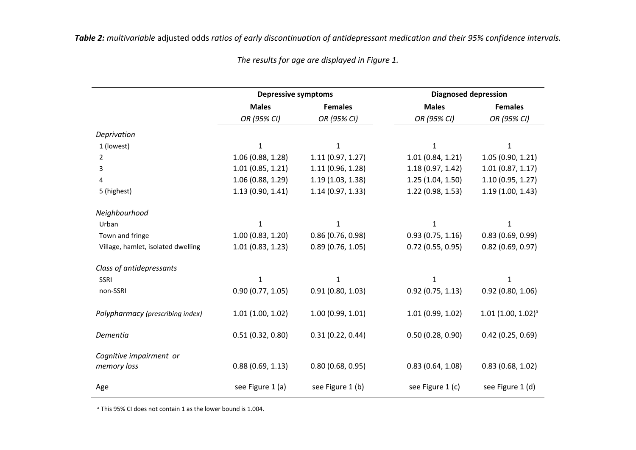|                                        | <b>Depressive symptoms</b> |                   | <b>Diagnosed depression</b> |                                     |
|----------------------------------------|----------------------------|-------------------|-----------------------------|-------------------------------------|
|                                        | <b>Males</b>               | <b>Females</b>    | <b>Males</b>                | <b>Females</b>                      |
|                                        | OR (95% CI)                | OR (95% CI)       | OR (95% CI)                 | OR (95% CI)                         |
| Deprivation                            |                            |                   |                             |                                     |
| 1 (lowest)                             | $\mathbf{1}$               | $\mathbf{1}$      | $\mathbf{1}$                | 1                                   |
| 2                                      | 1.06(0.88, 1.28)           | 1.11(0.97, 1.27)  | 1.01(0.84, 1.21)            | 1.05(0.90, 1.21)                    |
| 3                                      | 1.01(0.85, 1.21)           | 1.11(0.96, 1.28)  | 1.18(0.97, 1.42)            | 1.01(0.87, 1.17)                    |
| 4                                      | 1.06(0.88, 1.29)           | 1.19(1.03, 1.38)  | 1.25(1.04, 1.50)            | 1.10(0.95, 1.27)                    |
| 5 (highest)                            | 1.13(0.90, 1.41)           | 1.14 (0.97, 1.33) | 1.22 (0.98, 1.53)           | 1.19(1.00, 1.43)                    |
| Neighbourhood                          |                            |                   |                             |                                     |
| Urban                                  | $\mathbf{1}$               | 1                 | 1                           | 1                                   |
| Town and fringe                        | 1.00(0.83, 1.20)           | 0.86(0.76, 0.98)  | 0.93(0.75, 1.16)            | 0.83(0.69, 0.99)                    |
| Village, hamlet, isolated dwelling     | 1.01(0.83, 1.23)           | 0.89(0.76, 1.05)  | $0.72$ (0.55, 0.95)         | 0.82(0.69, 0.97)                    |
| Class of antidepressants               |                            |                   |                             |                                     |
| SSRI                                   | $\mathbf{1}$               | 1                 | 1                           | 1                                   |
| non-SSRI                               | 0.90(0.77, 1.05)           | 0.91(0.80, 1.03)  | 0.92(0.75, 1.13)            | 0.92(0.80, 1.06)                    |
| Polypharmacy (prescribing index)       | 1.01(1.00, 1.02)           | 1.00(0.99, 1.01)  | 1.01(0.99, 1.02)            | $1.01$ (1.00, $1.02$ ) <sup>a</sup> |
| Dementia                               | 0.51(0.32, 0.80)           | 0.31(0.22, 0.44)  | 0.50(0.28, 0.90)            | 0.42(0.25, 0.69)                    |
| Cognitive impairment or<br>memory loss | 0.88(0.69, 1.13)           | 0.80(0.68, 0.95)  | 0.83(0.64, 1.08)            | 0.83(0.68, 1.02)                    |
| Age                                    | see Figure 1 (a)           | see Figure 1 (b)  | see Figure 1 (c)            | see Figure 1 (d)                    |

*The results for age are displayed in Figure 1.*

<sup>a</sup> This 95% CI does not contain 1 as the lower bound is 1.004.